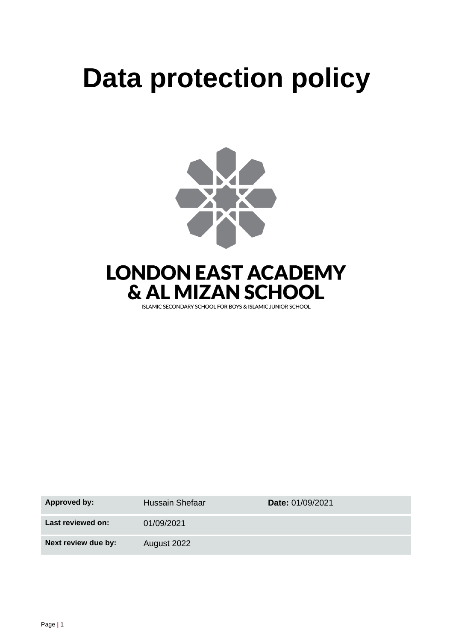# **Data protection policy**



**LONDON EAST ACADEMY & AL MIZAN SCHOOL** 

ISLAMIC SECONDARY SCHOOL FOR BOYS & ISLAMIC JUNIOR SCHOOL

| Approved by:        | Hussain Shefaar | Date: 01/09/2021 |
|---------------------|-----------------|------------------|
| Last reviewed on:   | 01/09/2021      |                  |
| Next review due by: | August 2022     |                  |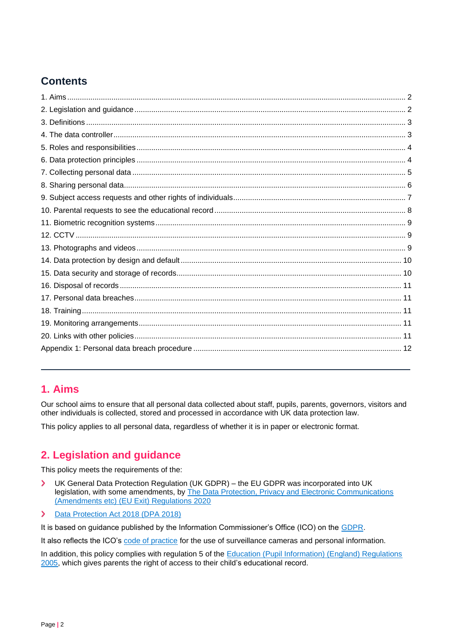# **Contents**

# <span id="page-1-0"></span>**1. Aims**

Our school aims to ensure that all personal data collected about staff, pupils, parents, governors, visitors and other individuals is collected, stored and processed in accordance with UK data protection law.

This policy applies to all personal data, regardless of whether it is in paper or electronic format.

# <span id="page-1-1"></span>**2. Legislation and guidance**

This policy meets the requirements of the:

 $\blacktriangleright$ UK General Data Protection Regulation (UK GDPR) – the EU GDPR was incorporated into UK legislation, with some amendments, by The Data Protection, Privacy and Electronic Communications [\(Amendments etc\) \(EU Exit\) Regulations 2020](https://www.legislation.gov.uk/uksi/2020/1586/made)

#### $\blacktriangleright$ [Data Protection Act 2018 \(DPA 2018\)](http://www.legislation.gov.uk/ukpga/2018/12/contents/enacted)

It is based on guidance published by the Information Commissioner's Office (ICO) on the [GDPR.](https://ico.org.uk/for-organisations/guide-to-the-general-data-protection-regulation-gdpr/)

It also reflects the ICO's [code of practice](https://ico.org.uk/media/for-organisations/documents/1542/cctv-code-of-practice.pdf) for the use of surveillance cameras and personal information.

In addition, this policy complies with regulation 5 of the Education (Pupil Information) (England) Regulations [2005,](http://www.legislation.gov.uk/uksi/2005/1437/regulation/5/made) which gives parents the right of access to their child's educational record.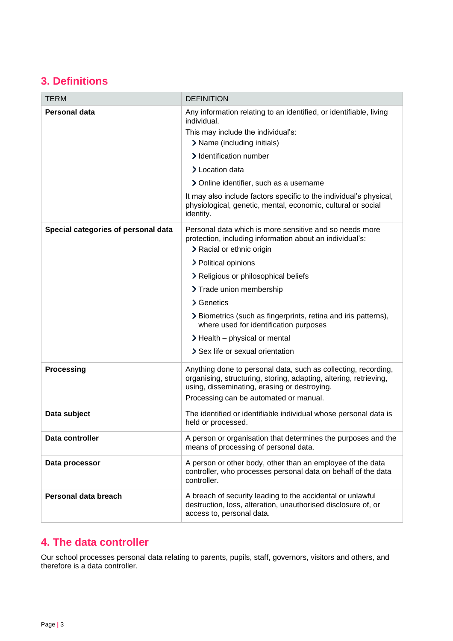# <span id="page-2-0"></span>**3. Definitions**

| <b>TERM</b>                         | <b>DEFINITION</b>                                                                                                                                                                                                                                                                                                                                                                                                                           |
|-------------------------------------|---------------------------------------------------------------------------------------------------------------------------------------------------------------------------------------------------------------------------------------------------------------------------------------------------------------------------------------------------------------------------------------------------------------------------------------------|
| Personal data                       | Any information relating to an identified, or identifiable, living<br>individual.<br>This may include the individual's:<br>> Name (including initials)<br>> Identification number<br>> Location data<br>> Online identifier, such as a username<br>It may also include factors specific to the individual's physical,<br>physiological, genetic, mental, economic, cultural or social<br>identity.                                          |
| Special categories of personal data | Personal data which is more sensitive and so needs more<br>protection, including information about an individual's:<br>> Racial or ethnic origin<br>> Political opinions<br>> Religious or philosophical beliefs<br>> Trade union membership<br>> Genetics<br>> Biometrics (such as fingerprints, retina and iris patterns),<br>where used for identification purposes<br>> Health - physical or mental<br>> Sex life or sexual orientation |
| <b>Processing</b>                   | Anything done to personal data, such as collecting, recording,<br>organising, structuring, storing, adapting, altering, retrieving,<br>using, disseminating, erasing or destroying.<br>Processing can be automated or manual.                                                                                                                                                                                                               |
| Data subject                        | The identified or identifiable individual whose personal data is<br>held or processed.                                                                                                                                                                                                                                                                                                                                                      |
| Data controller                     | A person or organisation that determines the purposes and the<br>means of processing of personal data.                                                                                                                                                                                                                                                                                                                                      |
| Data processor                      | A person or other body, other than an employee of the data<br>controller, who processes personal data on behalf of the data<br>controller.                                                                                                                                                                                                                                                                                                  |
| Personal data breach                | A breach of security leading to the accidental or unlawful<br>destruction, loss, alteration, unauthorised disclosure of, or<br>access to, personal data.                                                                                                                                                                                                                                                                                    |

# <span id="page-2-1"></span>**4. The data controller**

Our school processes personal data relating to parents, pupils, staff, governors, visitors and others, and therefore is a data controller.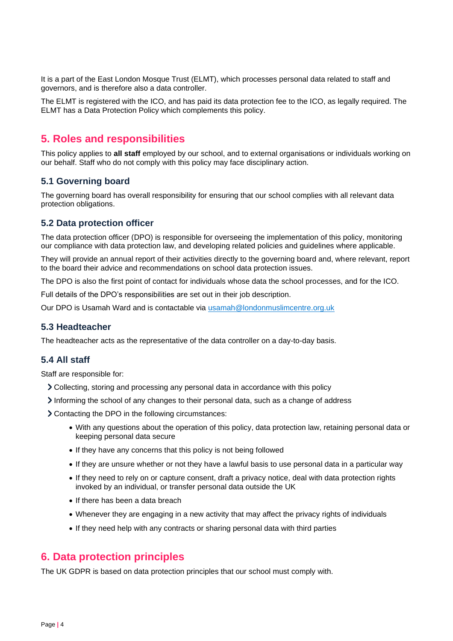It is a part of the East London Mosque Trust (ELMT), which processes personal data related to staff and governors, and is therefore also a data controller.

The ELMT is registered with the ICO, and has paid its data protection fee to the ICO, as legally required. The ELMT has a Data Protection Policy which complements this policy.

# <span id="page-3-0"></span>**5. Roles and responsibilities**

This policy applies to **all staff** employed by our school, and to external organisations or individuals working on our behalf. Staff who do not comply with this policy may face disciplinary action.

## **5.1 Governing board**

The governing board has overall responsibility for ensuring that our school complies with all relevant data protection obligations.

## **5.2 Data protection officer**

The data protection officer (DPO) is responsible for overseeing the implementation of this policy, monitoring our compliance with data protection law, and developing related policies and guidelines where applicable.

They will provide an annual report of their activities directly to the governing board and, where relevant, report to the board their advice and recommendations on school data protection issues.

The DPO is also the first point of contact for individuals whose data the school processes, and for the ICO.

Full details of the DPO's responsibilities are set out in their job description.

Our DPO is Usamah Ward and is contactable via [usamah@londonmuslimcentre.org.uk](mailto:usamah@londonmuslimcentre.org.uk)

## **5.3 Headteacher**

The headteacher acts as the representative of the data controller on a day-to-day basis.

## **5.4 All staff**

Staff are responsible for:

- Collecting, storing and processing any personal data in accordance with this policy
- Informing the school of any changes to their personal data, such as a change of address
- Contacting the DPO in the following circumstances:
	- With any questions about the operation of this policy, data protection law, retaining personal data or keeping personal data secure
	- If they have any concerns that this policy is not being followed
	- If they are unsure whether or not they have a lawful basis to use personal data in a particular way
	- If they need to rely on or capture consent, draft a privacy notice, deal with data protection rights invoked by an individual, or transfer personal data outside the UK
	- If there has been a data breach
	- Whenever they are engaging in a new activity that may affect the privacy rights of individuals
	- If they need help with any contracts or sharing personal data with third parties

# <span id="page-3-1"></span>**6. Data protection principles**

The UK GDPR is based on data protection principles that our school must comply with.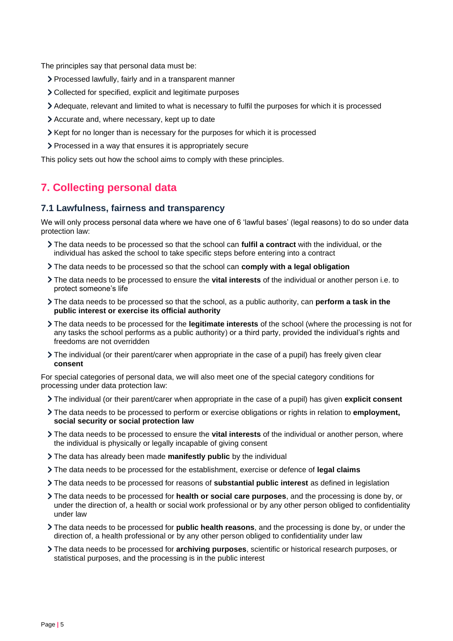The principles say that personal data must be:

- Processed lawfully, fairly and in a transparent manner
- Collected for specified, explicit and legitimate purposes
- Adequate, relevant and limited to what is necessary to fulfil the purposes for which it is processed
- Accurate and, where necessary, kept up to date
- $\triangleright$  Kept for no longer than is necessary for the purposes for which it is processed
- Processed in a way that ensures it is appropriately secure

This policy sets out how the school aims to comply with these principles.

# <span id="page-4-0"></span>**7. Collecting personal data**

## **7.1 Lawfulness, fairness and transparency**

We will only process personal data where we have one of 6 'lawful bases' (legal reasons) to do so under data protection law:

- The data needs to be processed so that the school can **fulfil a contract** with the individual, or the individual has asked the school to take specific steps before entering into a contract
- The data needs to be processed so that the school can **comply with a legal obligation**
- The data needs to be processed to ensure the **vital interests** of the individual or another person i.e. to protect someone's life
- The data needs to be processed so that the school, as a public authority, can **perform a task in the public interest or exercise its official authority**
- The data needs to be processed for the **legitimate interests** of the school (where the processing is not for any tasks the school performs as a public authority) or a third party, provided the individual's rights and freedoms are not overridden
- The individual (or their parent/carer when appropriate in the case of a pupil) has freely given clear **consent**

For special categories of personal data, we will also meet one of the special category conditions for processing under data protection law:

- The individual (or their parent/carer when appropriate in the case of a pupil) has given **explicit consent**
- The data needs to be processed to perform or exercise obligations or rights in relation to **employment, social security or social protection law**
- The data needs to be processed to ensure the **vital interests** of the individual or another person, where the individual is physically or legally incapable of giving consent
- The data has already been made **manifestly public** by the individual
- The data needs to be processed for the establishment, exercise or defence of **legal claims**
- The data needs to be processed for reasons of **substantial public interest** as defined in legislation
- The data needs to be processed for **health or social care purposes**, and the processing is done by, or under the direction of, a health or social work professional or by any other person obliged to confidentiality under law
- The data needs to be processed for **public health reasons**, and the processing is done by, or under the direction of, a health professional or by any other person obliged to confidentiality under law
- The data needs to be processed for **archiving purposes**, scientific or historical research purposes, or statistical purposes, and the processing is in the public interest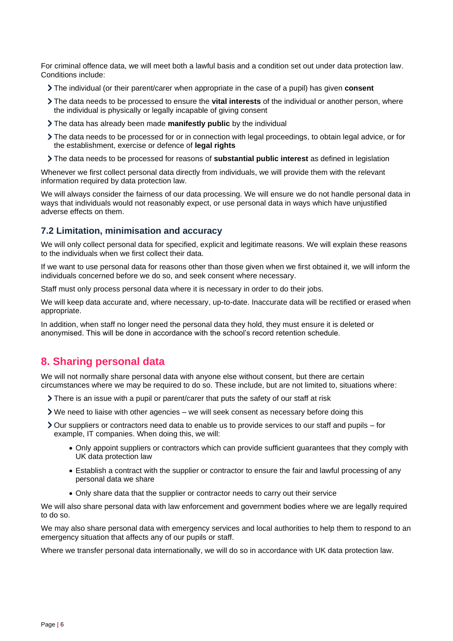For criminal offence data, we will meet both a lawful basis and a condition set out under data protection law. Conditions include:

- The individual (or their parent/carer when appropriate in the case of a pupil) has given **consent**
- The data needs to be processed to ensure the **vital interests** of the individual or another person, where the individual is physically or legally incapable of giving consent
- The data has already been made **manifestly public** by the individual
- The data needs to be processed for or in connection with legal proceedings, to obtain legal advice, or for the establishment, exercise or defence of **legal rights**
- The data needs to be processed for reasons of **substantial public interest** as defined in legislation

Whenever we first collect personal data directly from individuals, we will provide them with the relevant information required by data protection law.

We will always consider the fairness of our data processing. We will ensure we do not handle personal data in ways that individuals would not reasonably expect, or use personal data in ways which have unjustified adverse effects on them.

## **7.2 Limitation, minimisation and accuracy**

We will only collect personal data for specified, explicit and legitimate reasons. We will explain these reasons to the individuals when we first collect their data.

If we want to use personal data for reasons other than those given when we first obtained it, we will inform the individuals concerned before we do so, and seek consent where necessary.

Staff must only process personal data where it is necessary in order to do their jobs.

We will keep data accurate and, where necessary, up-to-date. Inaccurate data will be rectified or erased when appropriate.

In addition, when staff no longer need the personal data they hold, they must ensure it is deleted or anonymised. This will be done in accordance with the school's record retention schedule.

## <span id="page-5-0"></span>**8. Sharing personal data**

We will not normally share personal data with anyone else without consent, but there are certain circumstances where we may be required to do so. These include, but are not limited to, situations where:

- There is an issue with a pupil or parent/carer that puts the safety of our staff at risk
- $\triangleright$  We need to liaise with other agencies we will seek consent as necessary before doing this
- Our suppliers or contractors need data to enable us to provide services to our staff and pupils for example, IT companies. When doing this, we will:
	- Only appoint suppliers or contractors which can provide sufficient guarantees that they comply with UK data protection law
	- Establish a contract with the supplier or contractor to ensure the fair and lawful processing of any personal data we share
	- Only share data that the supplier or contractor needs to carry out their service

We will also share personal data with law enforcement and government bodies where we are legally required to do so.

We may also share personal data with emergency services and local authorities to help them to respond to an emergency situation that affects any of our pupils or staff.

Where we transfer personal data internationally, we will do so in accordance with UK data protection law.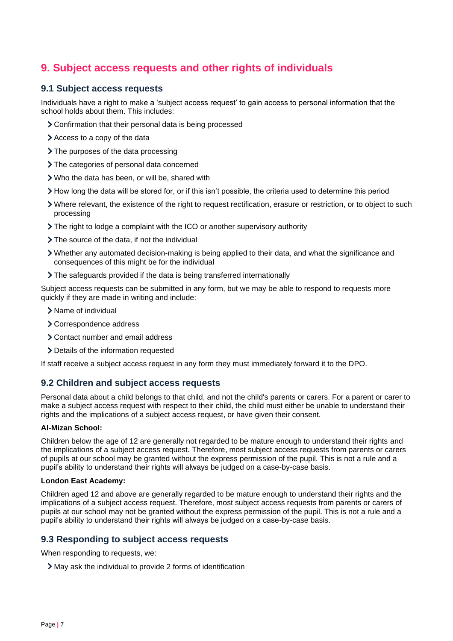# <span id="page-6-0"></span>**9. Subject access requests and other rights of individuals**

## **9.1 Subject access requests**

Individuals have a right to make a 'subject access request' to gain access to personal information that the school holds about them. This includes:

- Confirmation that their personal data is being processed
- Access to a copy of the data
- > The purposes of the data processing
- > The categories of personal data concerned
- Who the data has been, or will be, shared with
- How long the data will be stored for, or if this isn't possible, the criteria used to determine this period
- Where relevant, the existence of the right to request rectification, erasure or restriction, or to object to such processing
- The right to lodge a complaint with the ICO or another supervisory authority
- > The source of the data, if not the individual
- Whether any automated decision-making is being applied to their data, and what the significance and consequences of this might be for the individual
- The safeguards provided if the data is being transferred internationally

Subject access requests can be submitted in any form, but we may be able to respond to requests more quickly if they are made in writing and include:

- > Name of individual
- Correspondence address
- Contact number and email address
- > Details of the information requested

If staff receive a subject access request in any form they must immediately forward it to the DPO.

## **9.2 Children and subject access requests**

Personal data about a child belongs to that child, and not the child's parents or carers. For a parent or carer to make a subject access request with respect to their child, the child must either be unable to understand their rights and the implications of a subject access request, or have given their consent.

#### **Al-Mizan School:**

Children below the age of 12 are generally not regarded to be mature enough to understand their rights and the implications of a subject access request. Therefore, most subject access requests from parents or carers of pupils at our school may be granted without the express permission of the pupil. This is not a rule and a pupil's ability to understand their rights will always be judged on a case-by-case basis.

#### **London East Academy:**

Children aged 12 and above are generally regarded to be mature enough to understand their rights and the implications of a subject access request. Therefore, most subject access requests from parents or carers of pupils at our school may not be granted without the express permission of the pupil. This is not a rule and a pupil's ability to understand their rights will always be judged on a case-by-case basis.

## **9.3 Responding to subject access requests**

When responding to requests, we:

May ask the individual to provide 2 forms of identification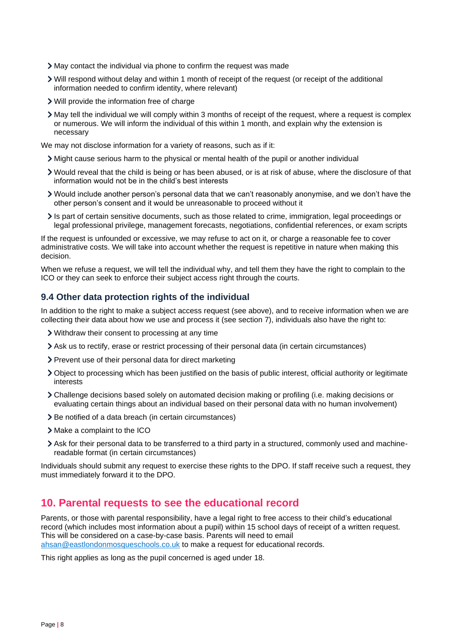- May contact the individual via phone to confirm the request was made
- Will respond without delay and within 1 month of receipt of the request (or receipt of the additional information needed to confirm identity, where relevant)
- Will provide the information free of charge
- May tell the individual we will comply within 3 months of receipt of the request, where a request is complex or numerous. We will inform the individual of this within 1 month, and explain why the extension is necessary

We may not disclose information for a variety of reasons, such as if it:

- Might cause serious harm to the physical or mental health of the pupil or another individual
- Would reveal that the child is being or has been abused, or is at risk of abuse, where the disclosure of that information would not be in the child's best interests
- Would include another person's personal data that we can't reasonably anonymise, and we don't have the other person's consent and it would be unreasonable to proceed without it
- Is part of certain sensitive documents, such as those related to crime, immigration, legal proceedings or legal professional privilege, management forecasts, negotiations, confidential references, or exam scripts

If the request is unfounded or excessive, we may refuse to act on it, or charge a reasonable fee to cover administrative costs. We will take into account whether the request is repetitive in nature when making this decision.

When we refuse a request, we will tell the individual why, and tell them they have the right to complain to the ICO or they can seek to enforce their subject access right through the courts.

## **9.4 Other data protection rights of the individual**

In addition to the right to make a subject access request (see above), and to receive information when we are collecting their data about how we use and process it (see section 7), individuals also have the right to:

- Withdraw their consent to processing at any time
- Ask us to rectify, erase or restrict processing of their personal data (in certain circumstances)
- > Prevent use of their personal data for direct marketing
- Object to processing which has been justified on the basis of public interest, official authority or legitimate interests
- Challenge decisions based solely on automated decision making or profiling (i.e. making decisions or evaluating certain things about an individual based on their personal data with no human involvement)
- > Be notified of a data breach (in certain circumstances)
- Make a complaint to the ICO
- Ask for their personal data to be transferred to a third party in a structured, commonly used and machinereadable format (in certain circumstances)

Individuals should submit any request to exercise these rights to the DPO. If staff receive such a request, they must immediately forward it to the DPO.

## <span id="page-7-0"></span>**10. Parental requests to see the educational record**

Parents, or those with parental responsibility, have a legal right to free access to their child's educational record (which includes most information about a pupil) within 15 school days of receipt of a written request. This will be considered on a case-by-case basis. Parents will need to email [ahsan@eastlondonmosqueschools.co.uk](mailto:ahsan@eastlondonmosqueschools.co.uk) to make a request for educational records.

This right applies as long as the pupil concerned is aged under 18.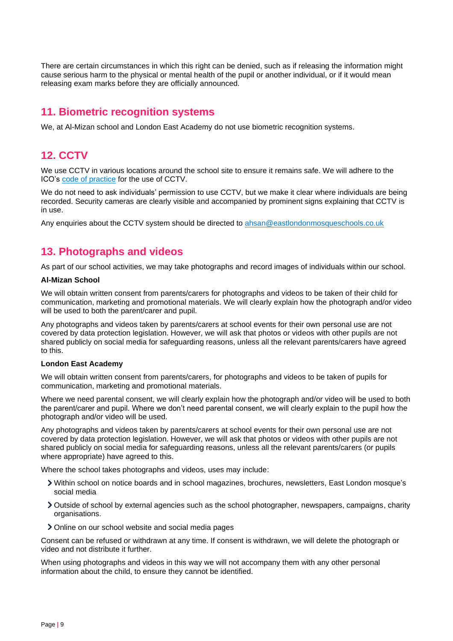There are certain circumstances in which this right can be denied, such as if releasing the information might cause serious harm to the physical or mental health of the pupil or another individual, or if it would mean releasing exam marks before they are officially announced.

# <span id="page-8-0"></span>**11. Biometric recognition systems**

We, at Al-Mizan school and London East Academy do not use biometric recognition systems.

# <span id="page-8-1"></span>**12. CCTV**

We use CCTV in various locations around the school site to ensure it remains safe. We will adhere to the ICO's [code of practice](https://ico.org.uk/media/for-organisations/documents/1542/cctv-code-of-practice.pdf) for the use of CCTV.

We do not need to ask individuals' permission to use CCTV, but we make it clear where individuals are being recorded. Security cameras are clearly visible and accompanied by prominent signs explaining that CCTV is in use.

Any enquiries about the CCTV system should be directed to [ahsan@eastlondonmosqueschools.co.uk](mailto:ahsan@eastlondonmosqueschools.co.uk)

# <span id="page-8-2"></span>**13. Photographs and videos**

As part of our school activities, we may take photographs and record images of individuals within our school.

## **Al-Mizan School**

We will obtain written consent from parents/carers for photographs and videos to be taken of their child for communication, marketing and promotional materials. We will clearly explain how the photograph and/or video will be used to both the parent/carer and pupil.

Any photographs and videos taken by parents/carers at school events for their own personal use are not covered by data protection legislation. However, we will ask that photos or videos with other pupils are not shared publicly on social media for safeguarding reasons, unless all the relevant parents/carers have agreed to this.

## **London East Academy**

We will obtain written consent from parents/carers, for photographs and videos to be taken of pupils for communication, marketing and promotional materials.

Where we need parental consent, we will clearly explain how the photograph and/or video will be used to both the parent/carer and pupil. Where we don't need parental consent, we will clearly explain to the pupil how the photograph and/or video will be used.

Any photographs and videos taken by parents/carers at school events for their own personal use are not covered by data protection legislation. However, we will ask that photos or videos with other pupils are not shared publicly on social media for safeguarding reasons, unless all the relevant parents/carers (or pupils where appropriate) have agreed to this.

Where the school takes photographs and videos, uses may include:

- Within school on notice boards and in school magazines, brochures, newsletters, East London mosque's social media
- Outside of school by external agencies such as the school photographer, newspapers, campaigns, charity organisations.
- Online on our school website and social media pages

Consent can be refused or withdrawn at any time. If consent is withdrawn, we will delete the photograph or video and not distribute it further.

When using photographs and videos in this way we will not accompany them with any other personal information about the child, to ensure they cannot be identified.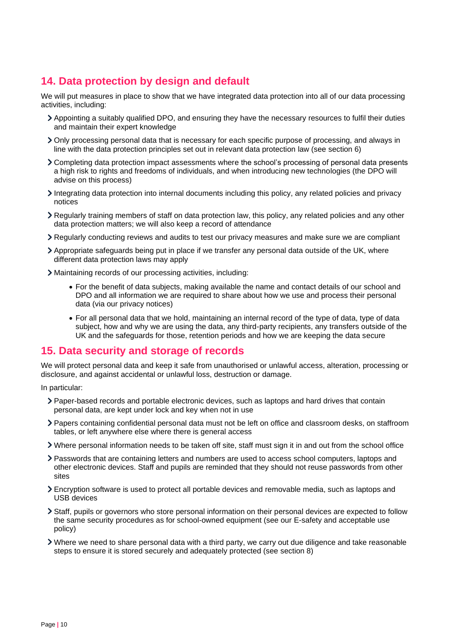# <span id="page-9-0"></span>**14. Data protection by design and default**

We will put measures in place to show that we have integrated data protection into all of our data processing activities, including:

- Appointing a suitably qualified DPO, and ensuring they have the necessary resources to fulfil their duties and maintain their expert knowledge
- Only processing personal data that is necessary for each specific purpose of processing, and always in line with the data protection principles set out in relevant data protection law (see section 6)
- Completing data protection impact assessments where the school's processing of personal data presents a high risk to rights and freedoms of individuals, and when introducing new technologies (the DPO will advise on this process)
- Integrating data protection into internal documents including this policy, any related policies and privacy notices
- Regularly training members of staff on data protection law, this policy, any related policies and any other data protection matters; we will also keep a record of attendance
- Regularly conducting reviews and audits to test our privacy measures and make sure we are compliant
- Appropriate safeguards being put in place if we transfer any personal data outside of the UK, where different data protection laws may apply
- Maintaining records of our processing activities, including:
	- For the benefit of data subjects, making available the name and contact details of our school and DPO and all information we are required to share about how we use and process their personal data (via our privacy notices)
	- For all personal data that we hold, maintaining an internal record of the type of data, type of data subject, how and why we are using the data, any third-party recipients, any transfers outside of the UK and the safeguards for those, retention periods and how we are keeping the data secure

## <span id="page-9-1"></span>**15. Data security and storage of records**

We will protect personal data and keep it safe from unauthorised or unlawful access, alteration, processing or disclosure, and against accidental or unlawful loss, destruction or damage.

In particular:

- Paper-based records and portable electronic devices, such as laptops and hard drives that contain personal data, are kept under lock and key when not in use
- Papers containing confidential personal data must not be left on office and classroom desks, on staffroom tables, or left anywhere else where there is general access
- Where personal information needs to be taken off site, staff must sign it in and out from the school office
- Passwords that are containing letters and numbers are used to access school computers, laptops and other electronic devices. Staff and pupils are reminded that they should not reuse passwords from other sites
- Encryption software is used to protect all portable devices and removable media, such as laptops and USB devices
- Staff, pupils or governors who store personal information on their personal devices are expected to follow the same security procedures as for school-owned equipment (see our E-safety and acceptable use policy)
- Where we need to share personal data with a third party, we carry out due diligence and take reasonable steps to ensure it is stored securely and adequately protected (see section 8)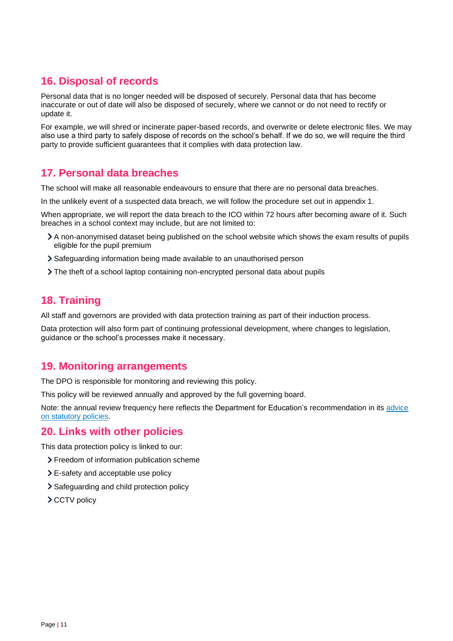# <span id="page-10-0"></span>**16. Disposal of records**

Personal data that is no longer needed will be disposed of securely. Personal data that has become inaccurate or out of date will also be disposed of securely, where we cannot or do not need to rectify or update it.

For example, we will shred or incinerate paper-based records, and overwrite or delete electronic files. We may also use a third party to safely dispose of records on the school's behalf. If we do so, we will require the third party to provide sufficient guarantees that it complies with data protection law.

# <span id="page-10-1"></span>**17. Personal data breaches**

The school will make all reasonable endeavours to ensure that there are no personal data breaches.

In the unlikely event of a suspected data breach, we will follow the procedure set out in appendix 1.

When appropriate, we will report the data breach to the ICO within 72 hours after becoming aware of it. Such breaches in a school context may include, but are not limited to:

- A non-anonymised dataset being published on the school website which shows the exam results of pupils eligible for the pupil premium
- Safeguarding information being made available to an unauthorised person
- The theft of a school laptop containing non-encrypted personal data about pupils

# <span id="page-10-2"></span>**18. Training**

All staff and governors are provided with data protection training as part of their induction process.

Data protection will also form part of continuing professional development, where changes to legislation, guidance or the school's processes make it necessary.

# <span id="page-10-3"></span>**19. Monitoring arrangements**

The DPO is responsible for monitoring and reviewing this policy.

This policy will be reviewed annually and approved by the full governing board.

Note: the annual review frequency here reflects the Department for Education's recommendation in its [advice](https://www.gov.uk/government/publications/statutory-policies-for-schools)  [on statutory policies.](https://www.gov.uk/government/publications/statutory-policies-for-schools)

# <span id="page-10-4"></span>**20. Links with other policies**

This data protection policy is linked to our:

- Freedom of information publication scheme
- E-safety and acceptable use policy
- > Safeguarding and child protection policy
- > CCTV policy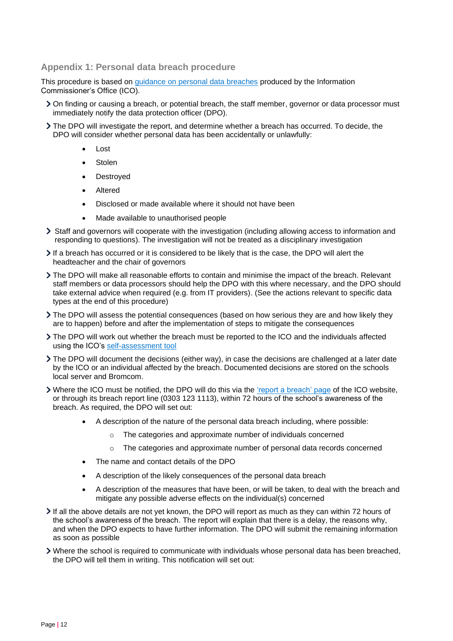## <span id="page-11-0"></span>**Appendix 1: Personal data breach procedure**

This procedure is based on [guidance on personal data breaches](https://ico.org.uk/for-organisations/guide-to-the-general-data-protection-regulation-gdpr/personal-data-breaches/) produced by the Information Commissioner's Office (ICO).

- On finding or causing a breach, or potential breach, the staff member, governor or data processor must immediately notify the data protection officer (DPO).
- The DPO will investigate the report, and determine whether a breach has occurred. To decide, the DPO will consider whether personal data has been accidentally or unlawfully:
	- Lost
	- **Stolen**
	- Destroyed
	- **Altered**
	- Disclosed or made available where it should not have been
	- Made available to unauthorised people
- Staff and governors will cooperate with the investigation (including allowing access to information and responding to questions). The investigation will not be treated as a disciplinary investigation
- If a breach has occurred or it is considered to be likely that is the case, the DPO will alert the headteacher and the chair of governors
- The DPO will make all reasonable efforts to contain and minimise the impact of the breach. Relevant staff members or data processors should help the DPO with this where necessary, and the DPO should take external advice when required (e.g. from IT providers). (See the actions relevant to specific data types at the end of this procedure)
- The DPO will assess the potential consequences (based on how serious they are and how likely they are to happen) before and after the implementation of steps to mitigate the consequences
- The DPO will work out whether the breach must be reported to the ICO and the individuals affected using the ICO's [self-assessment tool](https://ico.org.uk/for-organisations/report-a-breach/personal-data-breach-assessment/)
- The DPO will document the decisions (either way), in case the decisions are challenged at a later date by the ICO or an individual affected by the breach. Documented decisions are stored on the schools local server and Bromcom.
- > Where the ICO must be notified, the DPO will do this via the ['report a breach' page](https://ico.org.uk/for-organisations/report-a-breach/) of the ICO website, or through its breach report line (0303 123 1113), within 72 hours of the school's awareness of the breach. As required, the DPO will set out:
	- A description of the nature of the personal data breach including, where possible:
		- o The categories and approximate number of individuals concerned
		- $\circ$  The categories and approximate number of personal data records concerned
	- The name and contact details of the DPO
	- A description of the likely consequences of the personal data breach
	- A description of the measures that have been, or will be taken, to deal with the breach and mitigate any possible adverse effects on the individual(s) concerned
- If all the above details are not yet known, the DPO will report as much as they can within 72 hours of the school's awareness of the breach. The report will explain that there is a delay, the reasons why, and when the DPO expects to have further information. The DPO will submit the remaining information as soon as possible
- Where the school is required to communicate with individuals whose personal data has been breached, the DPO will tell them in writing. This notification will set out: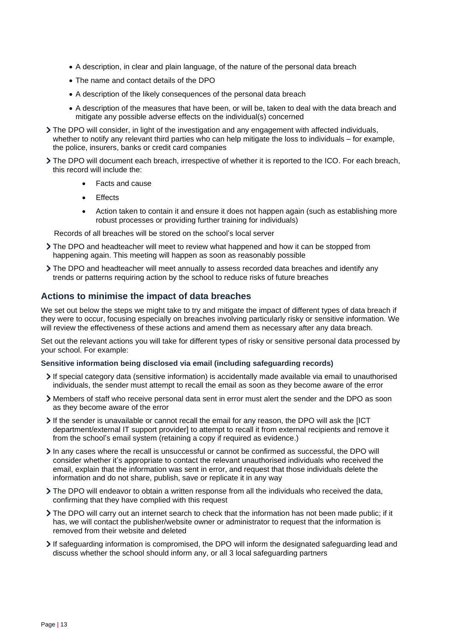- A description, in clear and plain language, of the nature of the personal data breach
- The name and contact details of the DPO
- A description of the likely consequences of the personal data breach
- A description of the measures that have been, or will be, taken to deal with the data breach and mitigate any possible adverse effects on the individual(s) concerned
- The DPO will consider, in light of the investigation and any engagement with affected individuals, whether to notify any relevant third parties who can help mitigate the loss to individuals – for example, the police, insurers, banks or credit card companies
- The DPO will document each breach, irrespective of whether it is reported to the ICO. For each breach, this record will include the:
	- Facts and cause
	- **Effects**
	- Action taken to contain it and ensure it does not happen again (such as establishing more robust processes or providing further training for individuals)

Records of all breaches will be stored on the school's local server

- The DPO and headteacher will meet to review what happened and how it can be stopped from happening again. This meeting will happen as soon as reasonably possible
- The DPO and headteacher will meet annually to assess recorded data breaches and identify any trends or patterns requiring action by the school to reduce risks of future breaches

## **Actions to minimise the impact of data breaches**

We set out below the steps we might take to try and mitigate the impact of different types of data breach if they were to occur, focusing especially on breaches involving particularly risky or sensitive information. We will review the effectiveness of these actions and amend them as necessary after any data breach.

Set out the relevant actions you will take for different types of risky or sensitive personal data processed by your school. For example:

#### **Sensitive information being disclosed via email (including safeguarding records)**

- If special category data (sensitive information) is accidentally made available via email to unauthorised individuals, the sender must attempt to recall the email as soon as they become aware of the error
- Members of staff who receive personal data sent in error must alert the sender and the DPO as soon as they become aware of the error
- If the sender is unavailable or cannot recall the email for any reason, the DPO will ask the [ICT department/external IT support provider] to attempt to recall it from external recipients and remove it from the school's email system (retaining a copy if required as evidence.)
- $\blacktriangleright$  In any cases where the recall is unsuccessful or cannot be confirmed as successful, the DPO will consider whether it's appropriate to contact the relevant unauthorised individuals who received the email, explain that the information was sent in error, and request that those individuals delete the information and do not share, publish, save or replicate it in any way
- The DPO will endeavor to obtain a written response from all the individuals who received the data, confirming that they have complied with this request
- The DPO will carry out an internet search to check that the information has not been made public; if it has, we will contact the publisher/website owner or administrator to request that the information is removed from their website and deleted
- If safeguarding information is compromised, the DPO will inform the designated safeguarding lead and discuss whether the school should inform any, or all 3 local safeguarding partners